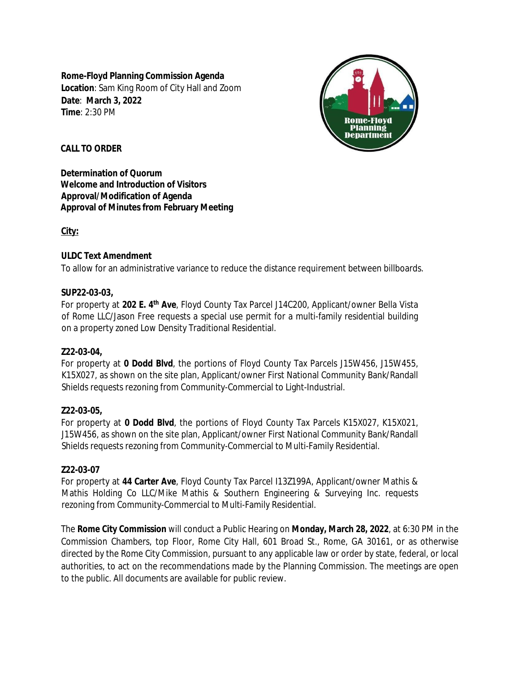**Rome-Floyd Planning Commission Agenda Location**: Sam King Room of City Hall and Zoom **Date**: **March 3, 2022 Time**: 2:30 PM



# **CALL TO ORDER**

**Determination of Quorum Welcome and Introduction of Visitors Approval/Modification of Agenda Approval of Minutes from February Meeting**

**City:**

### **ULDC Text Amendment**

To allow for an administrative variance to reduce the distance requirement between billboards.

### **SUP22-03-03,**

For property at **202 E. 4 th Ave**, Floyd County Tax Parcel J14C200, Applicant/owner Bella Vista of Rome LLC/Jason Free requests a special use permit for a multi-family residential building on a property zoned Low Density Traditional Residential.

#### **Z22-03-04,**

For property at **0 Dodd Blvd**, the portions of Floyd County Tax Parcels J15W456, J15W455, K15X027, as shown on the site plan, Applicant/owner First National Community Bank/Randall Shields requests rezoning from Community-Commercial to Light-Industrial.

# **Z22-03-05,**

For property at **0 Dodd Blvd**, the portions of Floyd County Tax Parcels K15X027, K15X021, J15W456, as shown on the site plan, Applicant/owner First National Community Bank/Randall Shields requests rezoning from Community-Commercial to Multi-Family Residential.

# **Z22-03-07**

For property at **44 Carter Ave**, Floyd County Tax Parcel I13Z199A, Applicant/owner Mathis & Mathis Holding Co LLC/Mike Mathis & Southern Engineering & Surveying Inc. requests rezoning from Community-Commercial to Multi-Family Residential.

The **Rome City Commission** will conduct a Public Hearing on **Monday, March 28, 2022**, at 6:30 PM in the Commission Chambers, top Floor, Rome City Hall, 601 Broad St., Rome, GA 30161, or as otherwise directed by the Rome City Commission, pursuant to any applicable law or order by state, federal, or local authorities, to act on the recommendations made by the Planning Commission. The meetings are open to the public. All documents are available for public review.